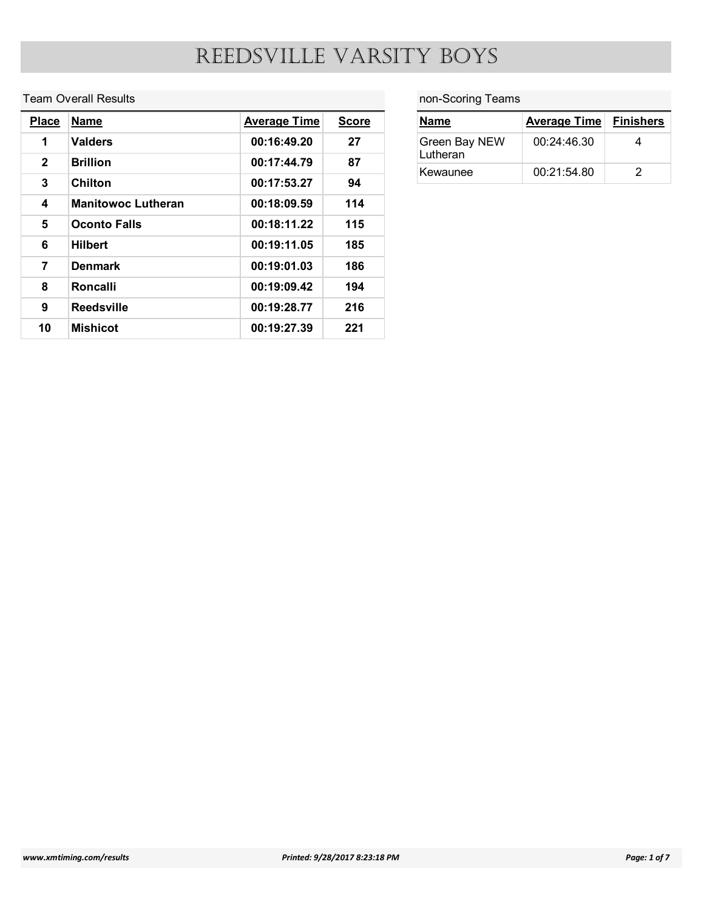#### Team Overall Results

|                                         |                             | REEDSVILLE VARSITY BOYS |              |                   |                     |                         |
|-----------------------------------------|-----------------------------|-------------------------|--------------|-------------------|---------------------|-------------------------|
|                                         |                             |                         |              |                   |                     |                         |
|                                         | <b>Team Overall Results</b> |                         |              | non-Scoring Teams |                     |                         |
|                                         |                             |                         |              |                   |                     |                         |
|                                         | <b>Name</b>                 | <b>Average Time</b>     | <b>Score</b> | <b>Name</b>       | <b>Average Time</b> | <b>Finishers</b>        |
| $\mathbf{1}$                            | <b>Valders</b>              | 00:16:49.20             | 27           | Green Bay NEW     | 00:24:46.30         | $\overline{\mathbf{4}}$ |
| $\overline{2}$                          | <b>Brillion</b>             | 00:17:44.79             | 87           | Lutheran          |                     |                         |
| $\mathbf{3}$                            | <b>Chilton</b>              | 00:17:53.27             | 94           | Kewaunee          | 00:21:54.80         | $\overline{2}$          |
| <b>Place</b><br>$\overline{\mathbf{4}}$ | <b>Manitowoc Lutheran</b>   | 00:18:09.59             | 114          |                   |                     |                         |
| $5\phantom{.0}$                         | <b>Oconto Falls</b>         | 00:18:11.22             | 115          |                   |                     |                         |
| 6                                       | <b>Hilbert</b>              | 00:19:11.05             | 185          |                   |                     |                         |
| $\overline{7}$                          | <b>Denmark</b>              | 00:19:01.03             | 186          |                   |                     |                         |
| 8                                       | Roncalli                    | 00:19:09.42             | 194          |                   |                     |                         |
| $\overline{9}$                          | <b>Reedsville</b>           | 00:19:28.77             | 216          |                   |                     |                         |

#### non-Scoring Teams

| non-Scoring Teams                   |                     |                  |
|-------------------------------------|---------------------|------------------|
| <b>Name</b>                         | <b>Average Time</b> | <b>Finishers</b> |
| Y BOYS<br>Green Bay NEW<br>Lutheran | 00:24:46.30         | $\overline{4}$   |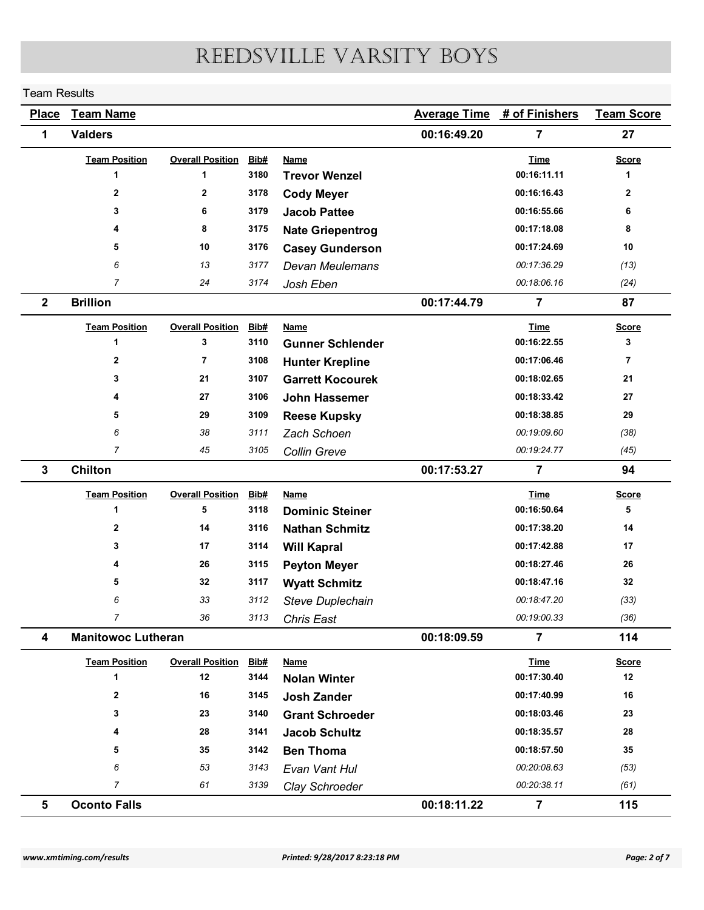#### Team Results

| <b>Team Results</b> |                           |                         |              |                                                   |                     |                               |                      |
|---------------------|---------------------------|-------------------------|--------------|---------------------------------------------------|---------------------|-------------------------------|----------------------|
|                     |                           |                         |              | REEDSVILLE VARSITY BOYS                           |                     |                               |                      |
|                     |                           |                         |              |                                                   |                     |                               |                      |
| <b>Place</b>        | <b>Team Name</b>          |                         |              |                                                   | <b>Average Time</b> | # of Finishers                | <b>Team Score</b>    |
| 1                   | <b>Valders</b>            |                         |              |                                                   | 00:16:49.20         | $\overline{7}$                | 27                   |
|                     | <b>Team Position</b>      | <b>Overall Position</b> | Bib#         | <b>Name</b>                                       |                     | <b>Time</b>                   | <b>Score</b>         |
|                     | $\blacktriangleleft$      | 1                       | 3180         | <b>Trevor Wenzel</b>                              |                     | 00:16:11.11                   | $\blacktriangleleft$ |
|                     | $\mathbf{2}$              | $\overline{2}$          | 3178         | <b>Cody Meyer</b>                                 |                     | 00:16:16.43                   | $\overline{2}$       |
|                     | $\mathbf{3}$<br>4         | 6<br>8                  | 3179<br>3175 | <b>Jacob Pattee</b>                               |                     | 00:16:55.66<br>00:17:18.08    | 6<br>8               |
|                     | 5                         | 10                      | 3176         | <b>Nate Griepentrog</b><br><b>Casey Gunderson</b> |                     | 00:17:24.69                   | 10                   |
|                     | 6                         | 13                      | 3177         | Devan Meulemans                                   |                     | 00:17:36.29                   | (13)                 |
|                     | $\overline{7}$            | 24                      | 3174         | Josh Eben                                         |                     | 00:18:06.16                   | (24)                 |
| $\mathbf{2}$        | <b>Brillion</b>           |                         |              |                                                   | 00:17:44.79         | $\overline{7}$                | 87                   |
|                     | <b>Team Position</b>      | <b>Overall Position</b> | Bib#         | <b>Name</b>                                       |                     | <b>Time</b>                   | <b>Score</b>         |
|                     | $\blacktriangleleft$      | 3                       | 3110         | <b>Gunner Schlender</b>                           |                     | 00:16:22.55                   | 3                    |
|                     | $\mathbf{2}$              | $\overline{7}$          | 3108         | <b>Hunter Krepline</b>                            |                     | 00:17:06.46                   | $\overline{7}$       |
|                     | 3                         | 21                      | 3107         | <b>Garrett Kocourek</b>                           |                     | 00:18:02.65                   | 21                   |
|                     | 4                         | 27                      | 3106         | John Hassemer                                     |                     | 00:18:33.42                   | 27                   |
|                     | 5                         | 29                      | 3109         | <b>Reese Kupsky</b>                               |                     | 00:18:38.85                   | 29                   |
|                     | 6                         | 38                      | 3111         | Zach Schoen                                       |                     | 00:19:09.60                   | (38)                 |
|                     | $\overline{7}$            | $\sqrt{45}$             | 3105         | Collin Greve                                      |                     | 00:19:24.77                   | (45)                 |
| $\mathbf{3}$        | Chilton                   |                         |              |                                                   | 00:17:53.27         | $\overline{7}$                | 94                   |
|                     | <b>Team Position</b>      | <b>Overall Position</b> | Bib#         | <b>Name</b>                                       |                     | <b>Time</b>                   | <b>Score</b>         |
|                     |                           | 5                       | 3118         | <b>Dominic Steiner</b>                            |                     | 00:16:50.64                   | 5                    |
|                     | $\mathbf{2}$              | 14                      | 3116         | <b>Nathan Schmitz</b>                             |                     | 00:17:38.20                   | 14                   |
|                     | 3                         | 17<br>26                | 3114         | <b>Will Kapral</b>                                |                     | 00:17:42.88                   | 17                   |
|                     | 5                         | 32                      | 3115<br>3117 | <b>Peyton Meyer</b>                               |                     | 00:18:27.46<br>00:18:47.16    | ${\bf 26}$<br>32     |
|                     | 6                         | 33                      | 3112         | <b>Wyatt Schmitz</b><br>Steve Duplechain          |                     | 00:18:47.20                   | (33)                 |
|                     | $\overline{7}$            | 36                      | 3113         | <b>Chris East</b>                                 |                     | 00:19:00.33                   | (36)                 |
| 4                   | <b>Manitowoc Lutheran</b> |                         |              |                                                   | 00:18:09.59         | $\overline{7}$                | 114                  |
|                     | <b>Team Position</b>      | <b>Overall Position</b> | Bib#         | <b>Name</b>                                       |                     | <b>Time</b>                   | <b>Score</b>         |
|                     | -1                        | 12                      | 3144         | <b>Nolan Winter</b>                               |                     | 00:17:30.40                   | 12                   |
|                     | $\mathbf{2}$              | 16                      | 3145         | <b>Josh Zander</b>                                |                     | 00:17:40.99                   | 16                   |
|                     | 3                         | 23                      | 3140         | <b>Grant Schroeder</b>                            |                     | 00:18:03.46                   | 23                   |
|                     | 4                         | 28                      | 3141         | <b>Jacob Schultz</b>                              |                     | 00:18:35.57                   | 28                   |
|                     | 5                         | 35                      | 3142         | <b>Ben Thoma</b>                                  |                     | 00:18:57.50                   | 35                   |
|                     | 6                         | 53                      | 3143         | Evan Vant Hul                                     |                     | 00:20:08.63                   | (53)                 |
|                     | $\overline{7}$            | 61                      | 3139         | Clay Schroeder                                    |                     | 00:20:38.11<br>$\overline{7}$ | (61)                 |
| $5\phantom{.0}$     | <b>Oconto Falls</b>       |                         |              |                                                   | 00:18:11.22         |                               | 115                  |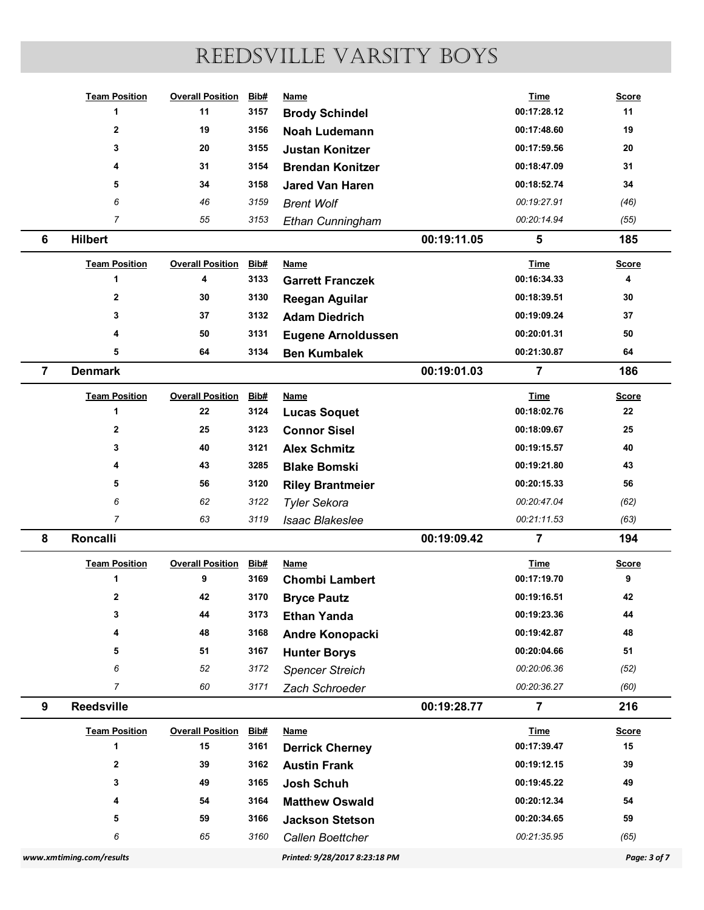|                |                                              |                               |                     | REEDSVILLE VARSITY BOYS                       |             |                            |                         |
|----------------|----------------------------------------------|-------------------------------|---------------------|-----------------------------------------------|-------------|----------------------------|-------------------------|
|                |                                              |                               |                     |                                               |             |                            |                         |
|                | <b>Team Position</b>                         | <b>Overall Position</b>       | Bib#                | <b>Name</b>                                   |             | <b>Time</b>                | <b>Score</b>            |
|                | $\blacktriangleleft$                         | 11                            | 3157                | <b>Brody Schindel</b>                         |             | 00:17:28.12                | 11                      |
|                | $\overline{\mathbf{2}}$                      | 19                            | 3156                | <b>Noah Ludemann</b>                          |             | 00:17:48.60                | 19                      |
|                | 3                                            | 20                            | 3155                | <b>Justan Konitzer</b>                        |             | 00:17:59.56                | 20                      |
|                | 4                                            | 31                            | 3154                | <b>Brendan Konitzer</b>                       |             | 00:18:47.09                | 31                      |
|                | 5                                            | 34                            | 3158                | <b>Jared Van Haren</b>                        |             | 00:18:52.74                | 34                      |
|                | 6                                            | 46                            | 3159                | <b>Brent Wolf</b>                             |             | 00:19:27.91                | (46)                    |
|                | $\overline{7}$                               | 55                            | 3153                | Ethan Cunningham                              |             | 00:20:14.94                | (55)                    |
| 6              | <b>Hilbert</b>                               |                               |                     |                                               | 00:19:11.05 | 5                          | 185                     |
|                | <b>Team Position</b>                         | <b>Overall Position</b>       | Bib#                | <b>Name</b>                                   |             | <b>Time</b>                | <b>Score</b>            |
|                | $\blacktriangleleft$                         | 4                             | 3133                | <b>Garrett Franczek</b>                       |             | 00:16:34.33                | $\overline{\mathbf{4}}$ |
|                | $\overline{\mathbf{2}}$                      | 30                            | 3130                | <b>Reegan Aguilar</b>                         |             | 00:18:39.51                | 30                      |
|                | 3                                            | 37                            | 3132                | <b>Adam Diedrich</b>                          |             | 00:19:09.24                | 37                      |
|                | 4                                            | 50                            | 3131                | <b>Eugene Arnoldussen</b>                     |             | 00:20:01.31                | ${\bf 50}$              |
|                | 5                                            | 64                            | 3134                | <b>Ben Kumbalek</b>                           |             | 00:21:30.87                | 64                      |
| $\overline{7}$ | <b>Denmark</b>                               |                               |                     |                                               | 00:19:01.03 | $\overline{7}$             | 186                     |
|                | <b>Team Position</b>                         | <b>Overall Position</b>       | <b>Bib#</b>         | <b>Name</b>                                   |             | <b>Time</b>                | <b>Score</b>            |
|                | -1                                           | 22                            | 3124                | <b>Lucas Soquet</b>                           |             | 00:18:02.76                | ${\bf 22}$              |
|                | $\mathbf{2}$                                 | 25                            | 3123                | <b>Connor Sisel</b>                           |             | 00:18:09.67                | 25                      |
|                | 3                                            | 40                            | 3121                | <b>Alex Schmitz</b>                           |             | 00:19:15.57                | 40                      |
|                |                                              | 43                            | 3285                | <b>Blake Bomski</b>                           |             | 00:19:21.80                | 43                      |
|                | 5                                            | 56                            | 3120                | <b>Riley Brantmeier</b>                       |             | 00:20:15.33                | 56                      |
|                | 6                                            | 62                            | 3122                | <b>Tyler Sekora</b>                           |             | 00:20:47.04                | (62)                    |
|                | $\overline{7}$                               | 63                            | 3119                | <b>Isaac Blakeslee</b>                        |             | 00:21:11.53                | (63)                    |
| 8              | Roncalli                                     |                               |                     |                                               | 00:19:09.42 | $\overline{7}$             | 194                     |
|                | <b>Team Position</b>                         | <b>Overall Position</b>       | <b>Bib#</b>         | <b>Name</b>                                   |             | <b>Time</b>                | <b>Score</b>            |
|                | $\mathbf{1}$                                 | 9                             | 3169                | <b>Chombi Lambert</b>                         |             | 00:17:19.70                | 9                       |
|                | $\mathbf{2}$                                 | 42                            | 3170                | <b>Bryce Pautz</b>                            |             | 00:19:16.51                | 42                      |
|                | 3                                            | 44<br>48                      | 3173<br>3168        | <b>Ethan Yanda</b>                            |             | 00:19:23.36<br>00:19:42.87 | 44<br>48                |
|                | 5                                            | 51                            | 3167                | Andre Konopacki                               |             | 00:20:04.66                | 51                      |
|                | 6                                            | 52                            | 3172                | <b>Hunter Borys</b><br><b>Spencer Streich</b> |             | 00:20:06.36                | (52)                    |
|                | $\overline{7}$                               | 60                            | 3171                | Zach Schroeder                                |             | 00:20:36.27                | (60)                    |
| 9              | <b>Reedsville</b>                            |                               |                     |                                               | 00:19:28.77 | $\overline{7}$             | 216                     |
|                |                                              |                               |                     |                                               |             |                            |                         |
|                | <b>Team Position</b><br>$\blacktriangleleft$ | <b>Overall Position</b><br>15 | <b>Bib#</b><br>3161 | <b>Name</b>                                   |             | <b>Time</b><br>00:17:39.47 | <b>Score</b><br>15      |
|                | $\mathbf{2}$                                 | 39                            | 3162                | <b>Derrick Cherney</b><br><b>Austin Frank</b> |             | 00:19:12.15                | 39                      |
|                | 3                                            | 49                            | 3165                | Josh Schuh                                    |             | 00:19:45.22                | 49                      |
|                |                                              | 54                            | 3164                | <b>Matthew Oswald</b>                         |             | 00:20:12.34                | 54                      |
|                | 5                                            | 59                            | 3166                | <b>Jackson Stetson</b>                        |             | 00:20:34.65                | 59                      |
|                | 6                                            | 65                            | 3160                | Callen Boettcher                              |             |                            |                         |
|                |                                              |                               |                     |                                               |             | 00:21:35.95                | (65)                    |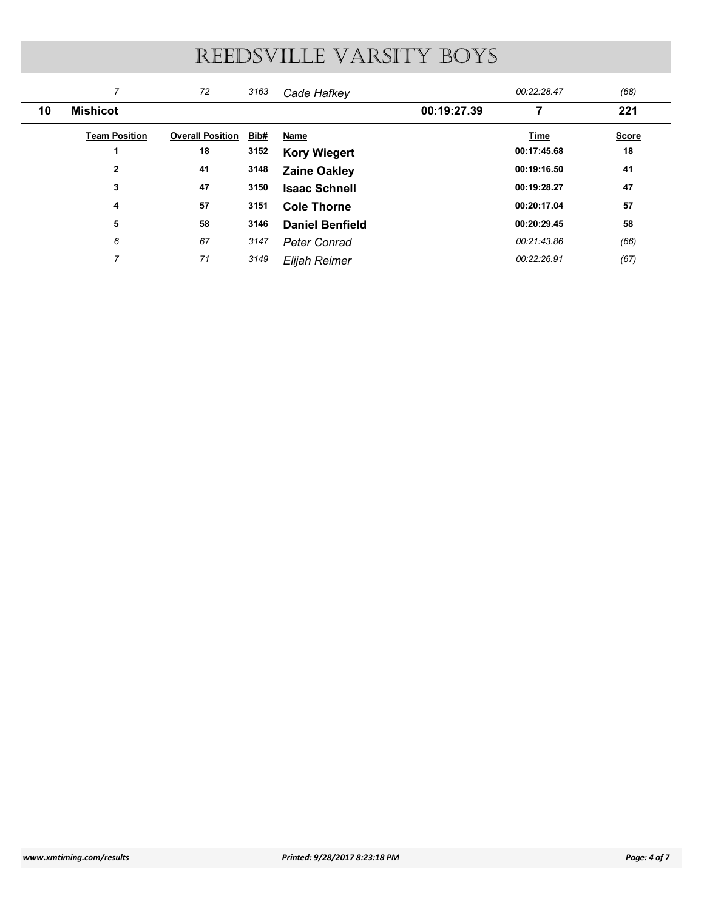| REEDSVILLE VARSITY BOYS<br>$\overline{7}$<br>00:22:28.47<br>72<br>(68)<br>3163<br>Cade Hafkey<br><b>Mishicot</b><br>00:19:27.39<br>$\overline{7}$<br>221<br>10<br><b>Team Position</b><br><b>Overall Position Bib#</b><br><b>Name</b><br><b>Time</b><br>00:17:45.68<br>18<br>3152<br>18<br>$\blacktriangleleft$<br><b>Kory Wiegert</b><br><b>Zaine Oakley</b><br>$\mathbf 2$<br>3148<br>00:19:16.50<br>41<br>41<br>$\mathbf{3}$<br>47<br>3150<br>00:19:28.27<br>47<br><b>Isaac Schnell</b><br>57<br>3151<br>00:20:17.04<br>57<br>$\overline{4}$<br><b>Cole Thorne</b><br>58<br>00:20:29.45<br>58<br>5<br>3146<br><b>Daniel Benfield</b><br>$\boldsymbol{6}$<br>67<br>3147<br>00:21:43.86<br>(66)<br><b>Peter Conrad</b><br>$\overline{7}$<br>71<br>3149<br>00:22:26.91 | <b>Score</b><br>Elijah Reimer<br>(67) |  |  |  |  |
|------------------------------------------------------------------------------------------------------------------------------------------------------------------------------------------------------------------------------------------------------------------------------------------------------------------------------------------------------------------------------------------------------------------------------------------------------------------------------------------------------------------------------------------------------------------------------------------------------------------------------------------------------------------------------------------------------------------------------------------------------------------------|---------------------------------------|--|--|--|--|
|                                                                                                                                                                                                                                                                                                                                                                                                                                                                                                                                                                                                                                                                                                                                                                        |                                       |  |  |  |  |
|                                                                                                                                                                                                                                                                                                                                                                                                                                                                                                                                                                                                                                                                                                                                                                        |                                       |  |  |  |  |
|                                                                                                                                                                                                                                                                                                                                                                                                                                                                                                                                                                                                                                                                                                                                                                        |                                       |  |  |  |  |
|                                                                                                                                                                                                                                                                                                                                                                                                                                                                                                                                                                                                                                                                                                                                                                        |                                       |  |  |  |  |
|                                                                                                                                                                                                                                                                                                                                                                                                                                                                                                                                                                                                                                                                                                                                                                        |                                       |  |  |  |  |
|                                                                                                                                                                                                                                                                                                                                                                                                                                                                                                                                                                                                                                                                                                                                                                        |                                       |  |  |  |  |
|                                                                                                                                                                                                                                                                                                                                                                                                                                                                                                                                                                                                                                                                                                                                                                        |                                       |  |  |  |  |
|                                                                                                                                                                                                                                                                                                                                                                                                                                                                                                                                                                                                                                                                                                                                                                        |                                       |  |  |  |  |
|                                                                                                                                                                                                                                                                                                                                                                                                                                                                                                                                                                                                                                                                                                                                                                        |                                       |  |  |  |  |
|                                                                                                                                                                                                                                                                                                                                                                                                                                                                                                                                                                                                                                                                                                                                                                        |                                       |  |  |  |  |
|                                                                                                                                                                                                                                                                                                                                                                                                                                                                                                                                                                                                                                                                                                                                                                        |                                       |  |  |  |  |
|                                                                                                                                                                                                                                                                                                                                                                                                                                                                                                                                                                                                                                                                                                                                                                        |                                       |  |  |  |  |
|                                                                                                                                                                                                                                                                                                                                                                                                                                                                                                                                                                                                                                                                                                                                                                        |                                       |  |  |  |  |
|                                                                                                                                                                                                                                                                                                                                                                                                                                                                                                                                                                                                                                                                                                                                                                        |                                       |  |  |  |  |
|                                                                                                                                                                                                                                                                                                                                                                                                                                                                                                                                                                                                                                                                                                                                                                        |                                       |  |  |  |  |
|                                                                                                                                                                                                                                                                                                                                                                                                                                                                                                                                                                                                                                                                                                                                                                        |                                       |  |  |  |  |
|                                                                                                                                                                                                                                                                                                                                                                                                                                                                                                                                                                                                                                                                                                                                                                        |                                       |  |  |  |  |
|                                                                                                                                                                                                                                                                                                                                                                                                                                                                                                                                                                                                                                                                                                                                                                        |                                       |  |  |  |  |
|                                                                                                                                                                                                                                                                                                                                                                                                                                                                                                                                                                                                                                                                                                                                                                        |                                       |  |  |  |  |
|                                                                                                                                                                                                                                                                                                                                                                                                                                                                                                                                                                                                                                                                                                                                                                        |                                       |  |  |  |  |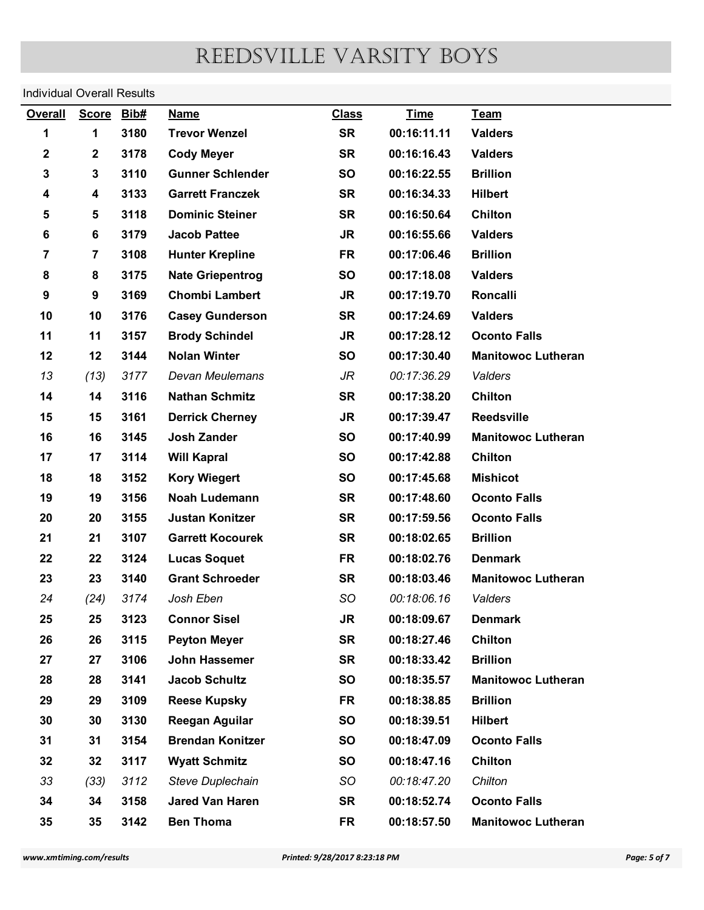#### Individual Overall Results

| <b>Time</b><br><b>Overall</b><br><b>Score</b><br>Bib#<br><b>Class</b><br>Team<br><b>Name</b><br>3180<br><b>SR</b><br>00:16:11.11<br>1<br><b>Trevor Wenzel</b><br><b>Valders</b><br>1<br>3178<br>2<br>$\mathbf 2$<br><b>Cody Meyer</b><br><b>SR</b><br>00:16:16.43<br><b>Valders</b><br>3110<br><b>Brillion</b><br>3<br>3<br><b>Gunner Schlender</b><br><b>SO</b><br>00:16:22.55<br>3133<br><b>Garrett Franczek</b><br>4<br><b>SR</b><br>00:16:34.33<br><b>Hilbert</b><br>4<br>5<br>5<br>3118<br><b>SR</b><br>00:16:50.64<br>Chilton<br><b>Dominic Steiner</b><br>6<br>3179<br>6<br><b>Jacob Pattee</b><br><b>JR</b><br>00:16:55.66<br><b>Valders</b><br>$\overline{7}$<br>$\overline{7}$<br>3108<br><b>Hunter Krepline</b><br><b>FR</b><br>00:17:06.46<br><b>Brillion</b><br>8<br>8<br>3175<br><b>Nate Griepentrog</b><br><b>SO</b><br>00:17:18.08<br><b>Valders</b><br>9<br>9<br>3169<br><b>Chombi Lambert</b><br><b>JR</b><br>00:17:19.70<br><b>Roncalli</b><br>10<br>10<br>3176<br><b>Casey Gunderson</b><br><b>SR</b><br>00:17:24.69<br><b>Valders</b><br>11<br>11<br>3157<br><b>Brody Schindel</b><br><b>JR</b><br>00:17:28.12<br><b>Oconto Falls</b><br>12<br>12<br>3144<br><b>Nolan Winter</b><br><b>SO</b><br>00:17:30.40<br><b>Manitowoc Lutheran</b><br>(13)<br>3177<br>00:17:36.29<br>13<br>Devan Meulemans<br>JR<br>Valders<br>14<br><b>SR</b><br>Chilton<br>14<br>3116<br><b>Nathan Schmitz</b><br>00:17:38.20<br>15<br>15<br>3161<br><b>Derrick Cherney</b><br><b>JR</b><br>00:17:39.47<br>Reedsville<br>16<br>Josh Zander<br>16<br>3145<br><b>SO</b><br>00:17:40.99<br><b>Manitowoc Lutheran</b><br>17<br>17<br>3114<br>SO<br>00:17:42.88<br>Chilton<br><b>Will Kapral</b><br>18<br>3152<br>18<br><b>Kory Wiegert</b><br>SO<br>00:17:45.68<br><b>Mishicot</b><br>19<br>19<br>3156<br>Noah Ludemann<br><b>SR</b><br>00:17:48.60<br><b>Oconto Falls</b><br>20<br>20<br>3155<br><b>Justan Konitzer</b><br><b>SR</b><br>00:17:59.56<br><b>Oconto Falls</b><br>21<br>21<br>3107<br><b>Garrett Kocourek</b><br><b>SR</b><br>00:18:02.65<br><b>Brillion</b><br>3124<br>22<br>22<br><b>Lucas Soquet</b><br><b>FR</b><br>00:18:02.76<br><b>Denmark</b><br>23<br>23<br>3140<br><b>Grant Schroeder</b><br><b>SR</b><br>00:18:03.46<br><b>Manitowoc Lutheran</b><br>24<br>(24)<br>3174<br>Josh Eben<br>SO<br>00:18:06.16<br>Valders<br>25<br>25<br>3123<br><b>Connor Sisel</b><br><b>JR</b><br>00:18:09.67<br><b>Denmark</b><br>Chilton<br>26<br>26<br>3115<br><b>Peyton Meyer</b><br><b>SR</b><br>00:18:27.46<br>27<br>27<br>3106<br><b>SR</b><br>00:18:33.42<br><b>Brillion</b><br>John Hassemer<br>28<br>28<br>3141<br><b>Jacob Schultz</b><br>SO<br>00:18:35.57<br><b>Manitowoc Lutheran</b><br>29<br>29<br>3109<br><b>Reese Kupsky</b><br><b>FR</b><br>00:18:38.85<br><b>Brillion</b><br>30<br>30<br>3130<br><b>Reegan Aguilar</b><br>SO<br>00:18:39.51<br><b>Hilbert</b><br>31<br>31<br>3154<br><b>Brendan Konitzer</b><br>SO<br>00:18:47.09<br><b>Oconto Falls</b><br>3117<br>32<br>32<br>SO<br>00:18:47.16<br><b>Chilton</b><br><b>Wyatt Schmitz</b><br>33<br>(33)<br>3112<br>SO<br>00:18:47.20<br>Chilton<br><b>Steve Duplechain</b><br><b>SR</b><br><b>Oconto Falls</b><br>34<br>34<br>3158<br><b>Jared Van Haren</b><br>00:18:52.74<br>35<br>35<br><b>Ben Thoma</b><br>3142<br><b>FR</b><br>00:18:57.50<br><b>Manitowoc Lutheran</b><br>Printed: 9/28/2017 8:23:18 PM | <b>Individual Overall Results</b> |  |  |  |              |
|-------------------------------------------------------------------------------------------------------------------------------------------------------------------------------------------------------------------------------------------------------------------------------------------------------------------------------------------------------------------------------------------------------------------------------------------------------------------------------------------------------------------------------------------------------------------------------------------------------------------------------------------------------------------------------------------------------------------------------------------------------------------------------------------------------------------------------------------------------------------------------------------------------------------------------------------------------------------------------------------------------------------------------------------------------------------------------------------------------------------------------------------------------------------------------------------------------------------------------------------------------------------------------------------------------------------------------------------------------------------------------------------------------------------------------------------------------------------------------------------------------------------------------------------------------------------------------------------------------------------------------------------------------------------------------------------------------------------------------------------------------------------------------------------------------------------------------------------------------------------------------------------------------------------------------------------------------------------------------------------------------------------------------------------------------------------------------------------------------------------------------------------------------------------------------------------------------------------------------------------------------------------------------------------------------------------------------------------------------------------------------------------------------------------------------------------------------------------------------------------------------------------------------------------------------------------------------------------------------------------------------------------------------------------------------------------------------------------------------------------------------------------------------------------------------------------------------------------------------------------------------------------------------------------------------------------------------------------------------------------------------------------------------------------------------------------------------------------------------------------------------------------------------------------------------------------------------------------------------------------------------------------------------------------------------------------------------------------------------------------------------------|-----------------------------------|--|--|--|--------------|
|                                                                                                                                                                                                                                                                                                                                                                                                                                                                                                                                                                                                                                                                                                                                                                                                                                                                                                                                                                                                                                                                                                                                                                                                                                                                                                                                                                                                                                                                                                                                                                                                                                                                                                                                                                                                                                                                                                                                                                                                                                                                                                                                                                                                                                                                                                                                                                                                                                                                                                                                                                                                                                                                                                                                                                                                                                                                                                                                                                                                                                                                                                                                                                                                                                                                                                                                                                                     |                                   |  |  |  |              |
|                                                                                                                                                                                                                                                                                                                                                                                                                                                                                                                                                                                                                                                                                                                                                                                                                                                                                                                                                                                                                                                                                                                                                                                                                                                                                                                                                                                                                                                                                                                                                                                                                                                                                                                                                                                                                                                                                                                                                                                                                                                                                                                                                                                                                                                                                                                                                                                                                                                                                                                                                                                                                                                                                                                                                                                                                                                                                                                                                                                                                                                                                                                                                                                                                                                                                                                                                                                     |                                   |  |  |  |              |
|                                                                                                                                                                                                                                                                                                                                                                                                                                                                                                                                                                                                                                                                                                                                                                                                                                                                                                                                                                                                                                                                                                                                                                                                                                                                                                                                                                                                                                                                                                                                                                                                                                                                                                                                                                                                                                                                                                                                                                                                                                                                                                                                                                                                                                                                                                                                                                                                                                                                                                                                                                                                                                                                                                                                                                                                                                                                                                                                                                                                                                                                                                                                                                                                                                                                                                                                                                                     |                                   |  |  |  |              |
|                                                                                                                                                                                                                                                                                                                                                                                                                                                                                                                                                                                                                                                                                                                                                                                                                                                                                                                                                                                                                                                                                                                                                                                                                                                                                                                                                                                                                                                                                                                                                                                                                                                                                                                                                                                                                                                                                                                                                                                                                                                                                                                                                                                                                                                                                                                                                                                                                                                                                                                                                                                                                                                                                                                                                                                                                                                                                                                                                                                                                                                                                                                                                                                                                                                                                                                                                                                     |                                   |  |  |  |              |
|                                                                                                                                                                                                                                                                                                                                                                                                                                                                                                                                                                                                                                                                                                                                                                                                                                                                                                                                                                                                                                                                                                                                                                                                                                                                                                                                                                                                                                                                                                                                                                                                                                                                                                                                                                                                                                                                                                                                                                                                                                                                                                                                                                                                                                                                                                                                                                                                                                                                                                                                                                                                                                                                                                                                                                                                                                                                                                                                                                                                                                                                                                                                                                                                                                                                                                                                                                                     |                                   |  |  |  |              |
|                                                                                                                                                                                                                                                                                                                                                                                                                                                                                                                                                                                                                                                                                                                                                                                                                                                                                                                                                                                                                                                                                                                                                                                                                                                                                                                                                                                                                                                                                                                                                                                                                                                                                                                                                                                                                                                                                                                                                                                                                                                                                                                                                                                                                                                                                                                                                                                                                                                                                                                                                                                                                                                                                                                                                                                                                                                                                                                                                                                                                                                                                                                                                                                                                                                                                                                                                                                     |                                   |  |  |  |              |
|                                                                                                                                                                                                                                                                                                                                                                                                                                                                                                                                                                                                                                                                                                                                                                                                                                                                                                                                                                                                                                                                                                                                                                                                                                                                                                                                                                                                                                                                                                                                                                                                                                                                                                                                                                                                                                                                                                                                                                                                                                                                                                                                                                                                                                                                                                                                                                                                                                                                                                                                                                                                                                                                                                                                                                                                                                                                                                                                                                                                                                                                                                                                                                                                                                                                                                                                                                                     |                                   |  |  |  |              |
| www.xmtiming.com/results                                                                                                                                                                                                                                                                                                                                                                                                                                                                                                                                                                                                                                                                                                                                                                                                                                                                                                                                                                                                                                                                                                                                                                                                                                                                                                                                                                                                                                                                                                                                                                                                                                                                                                                                                                                                                                                                                                                                                                                                                                                                                                                                                                                                                                                                                                                                                                                                                                                                                                                                                                                                                                                                                                                                                                                                                                                                                                                                                                                                                                                                                                                                                                                                                                                                                                                                                            |                                   |  |  |  |              |
|                                                                                                                                                                                                                                                                                                                                                                                                                                                                                                                                                                                                                                                                                                                                                                                                                                                                                                                                                                                                                                                                                                                                                                                                                                                                                                                                                                                                                                                                                                                                                                                                                                                                                                                                                                                                                                                                                                                                                                                                                                                                                                                                                                                                                                                                                                                                                                                                                                                                                                                                                                                                                                                                                                                                                                                                                                                                                                                                                                                                                                                                                                                                                                                                                                                                                                                                                                                     |                                   |  |  |  |              |
|                                                                                                                                                                                                                                                                                                                                                                                                                                                                                                                                                                                                                                                                                                                                                                                                                                                                                                                                                                                                                                                                                                                                                                                                                                                                                                                                                                                                                                                                                                                                                                                                                                                                                                                                                                                                                                                                                                                                                                                                                                                                                                                                                                                                                                                                                                                                                                                                                                                                                                                                                                                                                                                                                                                                                                                                                                                                                                                                                                                                                                                                                                                                                                                                                                                                                                                                                                                     |                                   |  |  |  |              |
|                                                                                                                                                                                                                                                                                                                                                                                                                                                                                                                                                                                                                                                                                                                                                                                                                                                                                                                                                                                                                                                                                                                                                                                                                                                                                                                                                                                                                                                                                                                                                                                                                                                                                                                                                                                                                                                                                                                                                                                                                                                                                                                                                                                                                                                                                                                                                                                                                                                                                                                                                                                                                                                                                                                                                                                                                                                                                                                                                                                                                                                                                                                                                                                                                                                                                                                                                                                     |                                   |  |  |  |              |
|                                                                                                                                                                                                                                                                                                                                                                                                                                                                                                                                                                                                                                                                                                                                                                                                                                                                                                                                                                                                                                                                                                                                                                                                                                                                                                                                                                                                                                                                                                                                                                                                                                                                                                                                                                                                                                                                                                                                                                                                                                                                                                                                                                                                                                                                                                                                                                                                                                                                                                                                                                                                                                                                                                                                                                                                                                                                                                                                                                                                                                                                                                                                                                                                                                                                                                                                                                                     |                                   |  |  |  |              |
|                                                                                                                                                                                                                                                                                                                                                                                                                                                                                                                                                                                                                                                                                                                                                                                                                                                                                                                                                                                                                                                                                                                                                                                                                                                                                                                                                                                                                                                                                                                                                                                                                                                                                                                                                                                                                                                                                                                                                                                                                                                                                                                                                                                                                                                                                                                                                                                                                                                                                                                                                                                                                                                                                                                                                                                                                                                                                                                                                                                                                                                                                                                                                                                                                                                                                                                                                                                     |                                   |  |  |  |              |
|                                                                                                                                                                                                                                                                                                                                                                                                                                                                                                                                                                                                                                                                                                                                                                                                                                                                                                                                                                                                                                                                                                                                                                                                                                                                                                                                                                                                                                                                                                                                                                                                                                                                                                                                                                                                                                                                                                                                                                                                                                                                                                                                                                                                                                                                                                                                                                                                                                                                                                                                                                                                                                                                                                                                                                                                                                                                                                                                                                                                                                                                                                                                                                                                                                                                                                                                                                                     |                                   |  |  |  |              |
|                                                                                                                                                                                                                                                                                                                                                                                                                                                                                                                                                                                                                                                                                                                                                                                                                                                                                                                                                                                                                                                                                                                                                                                                                                                                                                                                                                                                                                                                                                                                                                                                                                                                                                                                                                                                                                                                                                                                                                                                                                                                                                                                                                                                                                                                                                                                                                                                                                                                                                                                                                                                                                                                                                                                                                                                                                                                                                                                                                                                                                                                                                                                                                                                                                                                                                                                                                                     |                                   |  |  |  |              |
|                                                                                                                                                                                                                                                                                                                                                                                                                                                                                                                                                                                                                                                                                                                                                                                                                                                                                                                                                                                                                                                                                                                                                                                                                                                                                                                                                                                                                                                                                                                                                                                                                                                                                                                                                                                                                                                                                                                                                                                                                                                                                                                                                                                                                                                                                                                                                                                                                                                                                                                                                                                                                                                                                                                                                                                                                                                                                                                                                                                                                                                                                                                                                                                                                                                                                                                                                                                     |                                   |  |  |  |              |
|                                                                                                                                                                                                                                                                                                                                                                                                                                                                                                                                                                                                                                                                                                                                                                                                                                                                                                                                                                                                                                                                                                                                                                                                                                                                                                                                                                                                                                                                                                                                                                                                                                                                                                                                                                                                                                                                                                                                                                                                                                                                                                                                                                                                                                                                                                                                                                                                                                                                                                                                                                                                                                                                                                                                                                                                                                                                                                                                                                                                                                                                                                                                                                                                                                                                                                                                                                                     |                                   |  |  |  |              |
|                                                                                                                                                                                                                                                                                                                                                                                                                                                                                                                                                                                                                                                                                                                                                                                                                                                                                                                                                                                                                                                                                                                                                                                                                                                                                                                                                                                                                                                                                                                                                                                                                                                                                                                                                                                                                                                                                                                                                                                                                                                                                                                                                                                                                                                                                                                                                                                                                                                                                                                                                                                                                                                                                                                                                                                                                                                                                                                                                                                                                                                                                                                                                                                                                                                                                                                                                                                     |                                   |  |  |  |              |
|                                                                                                                                                                                                                                                                                                                                                                                                                                                                                                                                                                                                                                                                                                                                                                                                                                                                                                                                                                                                                                                                                                                                                                                                                                                                                                                                                                                                                                                                                                                                                                                                                                                                                                                                                                                                                                                                                                                                                                                                                                                                                                                                                                                                                                                                                                                                                                                                                                                                                                                                                                                                                                                                                                                                                                                                                                                                                                                                                                                                                                                                                                                                                                                                                                                                                                                                                                                     |                                   |  |  |  |              |
|                                                                                                                                                                                                                                                                                                                                                                                                                                                                                                                                                                                                                                                                                                                                                                                                                                                                                                                                                                                                                                                                                                                                                                                                                                                                                                                                                                                                                                                                                                                                                                                                                                                                                                                                                                                                                                                                                                                                                                                                                                                                                                                                                                                                                                                                                                                                                                                                                                                                                                                                                                                                                                                                                                                                                                                                                                                                                                                                                                                                                                                                                                                                                                                                                                                                                                                                                                                     |                                   |  |  |  |              |
|                                                                                                                                                                                                                                                                                                                                                                                                                                                                                                                                                                                                                                                                                                                                                                                                                                                                                                                                                                                                                                                                                                                                                                                                                                                                                                                                                                                                                                                                                                                                                                                                                                                                                                                                                                                                                                                                                                                                                                                                                                                                                                                                                                                                                                                                                                                                                                                                                                                                                                                                                                                                                                                                                                                                                                                                                                                                                                                                                                                                                                                                                                                                                                                                                                                                                                                                                                                     |                                   |  |  |  |              |
|                                                                                                                                                                                                                                                                                                                                                                                                                                                                                                                                                                                                                                                                                                                                                                                                                                                                                                                                                                                                                                                                                                                                                                                                                                                                                                                                                                                                                                                                                                                                                                                                                                                                                                                                                                                                                                                                                                                                                                                                                                                                                                                                                                                                                                                                                                                                                                                                                                                                                                                                                                                                                                                                                                                                                                                                                                                                                                                                                                                                                                                                                                                                                                                                                                                                                                                                                                                     |                                   |  |  |  |              |
|                                                                                                                                                                                                                                                                                                                                                                                                                                                                                                                                                                                                                                                                                                                                                                                                                                                                                                                                                                                                                                                                                                                                                                                                                                                                                                                                                                                                                                                                                                                                                                                                                                                                                                                                                                                                                                                                                                                                                                                                                                                                                                                                                                                                                                                                                                                                                                                                                                                                                                                                                                                                                                                                                                                                                                                                                                                                                                                                                                                                                                                                                                                                                                                                                                                                                                                                                                                     |                                   |  |  |  |              |
|                                                                                                                                                                                                                                                                                                                                                                                                                                                                                                                                                                                                                                                                                                                                                                                                                                                                                                                                                                                                                                                                                                                                                                                                                                                                                                                                                                                                                                                                                                                                                                                                                                                                                                                                                                                                                                                                                                                                                                                                                                                                                                                                                                                                                                                                                                                                                                                                                                                                                                                                                                                                                                                                                                                                                                                                                                                                                                                                                                                                                                                                                                                                                                                                                                                                                                                                                                                     |                                   |  |  |  |              |
|                                                                                                                                                                                                                                                                                                                                                                                                                                                                                                                                                                                                                                                                                                                                                                                                                                                                                                                                                                                                                                                                                                                                                                                                                                                                                                                                                                                                                                                                                                                                                                                                                                                                                                                                                                                                                                                                                                                                                                                                                                                                                                                                                                                                                                                                                                                                                                                                                                                                                                                                                                                                                                                                                                                                                                                                                                                                                                                                                                                                                                                                                                                                                                                                                                                                                                                                                                                     |                                   |  |  |  |              |
|                                                                                                                                                                                                                                                                                                                                                                                                                                                                                                                                                                                                                                                                                                                                                                                                                                                                                                                                                                                                                                                                                                                                                                                                                                                                                                                                                                                                                                                                                                                                                                                                                                                                                                                                                                                                                                                                                                                                                                                                                                                                                                                                                                                                                                                                                                                                                                                                                                                                                                                                                                                                                                                                                                                                                                                                                                                                                                                                                                                                                                                                                                                                                                                                                                                                                                                                                                                     |                                   |  |  |  |              |
|                                                                                                                                                                                                                                                                                                                                                                                                                                                                                                                                                                                                                                                                                                                                                                                                                                                                                                                                                                                                                                                                                                                                                                                                                                                                                                                                                                                                                                                                                                                                                                                                                                                                                                                                                                                                                                                                                                                                                                                                                                                                                                                                                                                                                                                                                                                                                                                                                                                                                                                                                                                                                                                                                                                                                                                                                                                                                                                                                                                                                                                                                                                                                                                                                                                                                                                                                                                     |                                   |  |  |  |              |
|                                                                                                                                                                                                                                                                                                                                                                                                                                                                                                                                                                                                                                                                                                                                                                                                                                                                                                                                                                                                                                                                                                                                                                                                                                                                                                                                                                                                                                                                                                                                                                                                                                                                                                                                                                                                                                                                                                                                                                                                                                                                                                                                                                                                                                                                                                                                                                                                                                                                                                                                                                                                                                                                                                                                                                                                                                                                                                                                                                                                                                                                                                                                                                                                                                                                                                                                                                                     |                                   |  |  |  |              |
|                                                                                                                                                                                                                                                                                                                                                                                                                                                                                                                                                                                                                                                                                                                                                                                                                                                                                                                                                                                                                                                                                                                                                                                                                                                                                                                                                                                                                                                                                                                                                                                                                                                                                                                                                                                                                                                                                                                                                                                                                                                                                                                                                                                                                                                                                                                                                                                                                                                                                                                                                                                                                                                                                                                                                                                                                                                                                                                                                                                                                                                                                                                                                                                                                                                                                                                                                                                     |                                   |  |  |  |              |
|                                                                                                                                                                                                                                                                                                                                                                                                                                                                                                                                                                                                                                                                                                                                                                                                                                                                                                                                                                                                                                                                                                                                                                                                                                                                                                                                                                                                                                                                                                                                                                                                                                                                                                                                                                                                                                                                                                                                                                                                                                                                                                                                                                                                                                                                                                                                                                                                                                                                                                                                                                                                                                                                                                                                                                                                                                                                                                                                                                                                                                                                                                                                                                                                                                                                                                                                                                                     |                                   |  |  |  |              |
|                                                                                                                                                                                                                                                                                                                                                                                                                                                                                                                                                                                                                                                                                                                                                                                                                                                                                                                                                                                                                                                                                                                                                                                                                                                                                                                                                                                                                                                                                                                                                                                                                                                                                                                                                                                                                                                                                                                                                                                                                                                                                                                                                                                                                                                                                                                                                                                                                                                                                                                                                                                                                                                                                                                                                                                                                                                                                                                                                                                                                                                                                                                                                                                                                                                                                                                                                                                     |                                   |  |  |  |              |
|                                                                                                                                                                                                                                                                                                                                                                                                                                                                                                                                                                                                                                                                                                                                                                                                                                                                                                                                                                                                                                                                                                                                                                                                                                                                                                                                                                                                                                                                                                                                                                                                                                                                                                                                                                                                                                                                                                                                                                                                                                                                                                                                                                                                                                                                                                                                                                                                                                                                                                                                                                                                                                                                                                                                                                                                                                                                                                                                                                                                                                                                                                                                                                                                                                                                                                                                                                                     |                                   |  |  |  |              |
|                                                                                                                                                                                                                                                                                                                                                                                                                                                                                                                                                                                                                                                                                                                                                                                                                                                                                                                                                                                                                                                                                                                                                                                                                                                                                                                                                                                                                                                                                                                                                                                                                                                                                                                                                                                                                                                                                                                                                                                                                                                                                                                                                                                                                                                                                                                                                                                                                                                                                                                                                                                                                                                                                                                                                                                                                                                                                                                                                                                                                                                                                                                                                                                                                                                                                                                                                                                     |                                   |  |  |  |              |
|                                                                                                                                                                                                                                                                                                                                                                                                                                                                                                                                                                                                                                                                                                                                                                                                                                                                                                                                                                                                                                                                                                                                                                                                                                                                                                                                                                                                                                                                                                                                                                                                                                                                                                                                                                                                                                                                                                                                                                                                                                                                                                                                                                                                                                                                                                                                                                                                                                                                                                                                                                                                                                                                                                                                                                                                                                                                                                                                                                                                                                                                                                                                                                                                                                                                                                                                                                                     |                                   |  |  |  |              |
|                                                                                                                                                                                                                                                                                                                                                                                                                                                                                                                                                                                                                                                                                                                                                                                                                                                                                                                                                                                                                                                                                                                                                                                                                                                                                                                                                                                                                                                                                                                                                                                                                                                                                                                                                                                                                                                                                                                                                                                                                                                                                                                                                                                                                                                                                                                                                                                                                                                                                                                                                                                                                                                                                                                                                                                                                                                                                                                                                                                                                                                                                                                                                                                                                                                                                                                                                                                     |                                   |  |  |  |              |
|                                                                                                                                                                                                                                                                                                                                                                                                                                                                                                                                                                                                                                                                                                                                                                                                                                                                                                                                                                                                                                                                                                                                                                                                                                                                                                                                                                                                                                                                                                                                                                                                                                                                                                                                                                                                                                                                                                                                                                                                                                                                                                                                                                                                                                                                                                                                                                                                                                                                                                                                                                                                                                                                                                                                                                                                                                                                                                                                                                                                                                                                                                                                                                                                                                                                                                                                                                                     |                                   |  |  |  | Page: 5 of 7 |
|                                                                                                                                                                                                                                                                                                                                                                                                                                                                                                                                                                                                                                                                                                                                                                                                                                                                                                                                                                                                                                                                                                                                                                                                                                                                                                                                                                                                                                                                                                                                                                                                                                                                                                                                                                                                                                                                                                                                                                                                                                                                                                                                                                                                                                                                                                                                                                                                                                                                                                                                                                                                                                                                                                                                                                                                                                                                                                                                                                                                                                                                                                                                                                                                                                                                                                                                                                                     |                                   |  |  |  |              |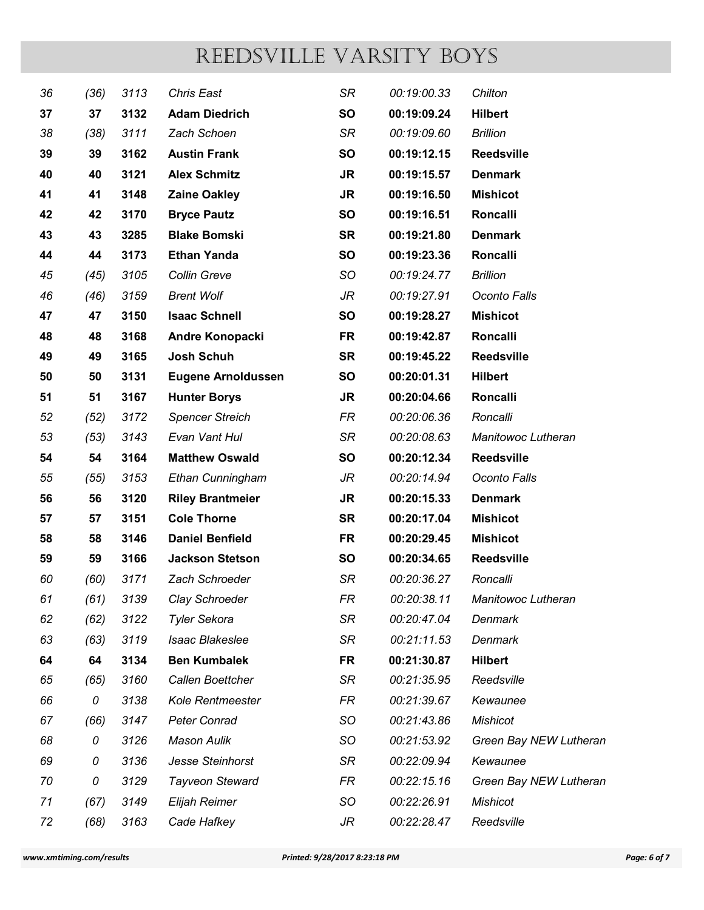|          |                        |              | REEDSVILLE VARSITY BOYS                 |                               |                            |                              |              |
|----------|------------------------|--------------|-----------------------------------------|-------------------------------|----------------------------|------------------------------|--------------|
| 36       | (36)                   | 3113         | <b>Chris East</b>                       | <b>SR</b>                     | 00:19:00.33                | Chilton                      |              |
| 37       | 37                     | 3132         | <b>Adam Diedrich</b>                    | <b>SO</b>                     | 00:19:09.24                | <b>Hilbert</b>               |              |
| 38       | (38)                   | 3111         | Zach Schoen                             | SR                            | 00:19:09.60                | <b>Brillion</b>              |              |
| 39       | 39                     | 3162         | <b>Austin Frank</b>                     | <b>SO</b>                     | 00:19:12.15                | <b>Reedsville</b>            |              |
| 40       | 40                     | 3121         | <b>Alex Schmitz</b>                     | <b>JR</b>                     | 00:19:15.57                | <b>Denmark</b>               |              |
| 41       | 41                     | 3148         | <b>Zaine Oakley</b>                     | <b>JR</b>                     | 00:19:16.50                | <b>Mishicot</b>              |              |
| 42       | 42                     | 3170         | <b>Bryce Pautz</b>                      | <b>SO</b>                     | 00:19:16.51                | <b>Roncalli</b>              |              |
| 43       | 43                     | 3285         | <b>Blake Bomski</b>                     | <b>SR</b>                     | 00:19:21.80                | <b>Denmark</b>               |              |
| 44       | 44                     | 3173         | <b>Ethan Yanda</b>                      | <b>SO</b>                     | 00:19:23.36                | <b>Roncalli</b>              |              |
| 45       | (45)                   | 3105         | Collin Greve                            | <b>SO</b>                     | 00:19:24.77                | <b>Brillion</b>              |              |
| 46       | (46)                   | 3159         | <b>Brent Wolf</b>                       | JR                            | 00:19:27.91                | Oconto Falls                 |              |
| 47       | 47                     | 3150         | <b>Isaac Schnell</b>                    | <b>SO</b>                     | 00:19:28.27                | <b>Mishicot</b>              |              |
| 48       | 48                     | 3168         | Andre Konopacki                         | <b>FR</b>                     | 00:19:42.87                | Roncalli                     |              |
| 49       | 49                     | 3165         | Josh Schuh                              | <b>SR</b>                     | 00:19:45.22                | <b>Reedsville</b>            |              |
| 50       | 50                     | 3131         | <b>Eugene Arnoldussen</b>               | SO                            | 00:20:01.31                | <b>Hilbert</b>               |              |
| 51       | 51                     | 3167         | <b>Hunter Borys</b>                     | JR                            | 00:20:04.66                | Roncalli                     |              |
| 52       | (52)                   | 3172         | <b>Spencer Streich</b>                  | FR                            | 00:20:06.36                | Roncalli                     |              |
| 53       | (53)                   | 3143         | Evan Vant Hul                           | SR                            | 00:20:08.63                | Manitowoc Lutheran           |              |
| 54       | 54                     | 3164         | <b>Matthew Oswald</b>                   | SO                            | 00:20:12.34                | <b>Reedsville</b>            |              |
| 55       | (55)                   | 3153         | Ethan Cunningham                        | JR                            | 00:20:14.94                | Oconto Falls                 |              |
| 56       | 56                     | 3120         | <b>Riley Brantmeier</b>                 | <b>JR</b>                     | 00:20:15.33                | <b>Denmark</b>               |              |
| 57       | 57                     | 3151         | <b>Cole Thorne</b>                      | <b>SR</b>                     | 00:20:17.04                | <b>Mishicot</b>              |              |
| 58       | 58                     | 3146         | <b>Daniel Benfield</b>                  | <b>FR</b>                     | 00:20:29.45                | <b>Mishicot</b>              |              |
| 59       | 59                     | 3166         | <b>Jackson Stetson</b>                  | <b>SO</b>                     | 00:20:34.65                | Reedsville                   |              |
| 60       | (60)                   | 3171         | Zach Schroeder                          | SR                            | 00:20:36.27                | Roncalli                     |              |
| 61       | (61)                   | 3139         | Clay Schroeder                          | FR                            | 00:20:38.11                | Manitowoc Lutheran           |              |
| 62       | (62)                   | 3122         | <b>Tyler Sekora</b>                     | SR                            | 00:20:47.04                | Denmark                      |              |
| 63       | (63)                   | 3119         | <b>Isaac Blakeslee</b>                  | SR                            | 00:21:11.53                | Denmark                      |              |
| 64<br>65 | 64<br>(65)             | 3134<br>3160 | <b>Ben Kumbalek</b><br>Callen Boettcher | <b>FR</b><br>SR               | 00:21:30.87<br>00:21:35.95 | <b>Hilbert</b><br>Reedsville |              |
| 66       | 0                      | 3138         | Kole Rentmeester                        | FR                            | 00:21:39.67                | Kewaunee                     |              |
| 67       | (66)                   | 3147         | Peter Conrad                            | SO                            | 00:21:43.86                | <b>Mishicot</b>              |              |
| 68       | 0                      | 3126         | <b>Mason Aulik</b>                      | SO                            | 00:21:53.92                | Green Bay NEW Lutheran       |              |
| 69       | 0                      | 3136         | Jesse Steinhorst                        | SR                            | 00:22:09.94                | Kewaunee                     |              |
| 70       | 0                      | 3129         | Tayveon Steward                         | FR                            | 00:22:15.16                | Green Bay NEW Lutheran       |              |
| 71       | (67)                   | 3149         | Elijah Reimer                           | SO                            | 00:22:26.91                | <b>Mishicot</b>              |              |
| 72       | (68)                   | 3163         | Cade Hafkey                             | JR                            | 00:22:28.47                | Reedsville                   |              |
|          |                        |              |                                         |                               |                            |                              |              |
|          | w.xmtiming.com/results |              |                                         | Printed: 9/28/2017 8:23:18 PM |                            |                              | Page: 6 of 7 |